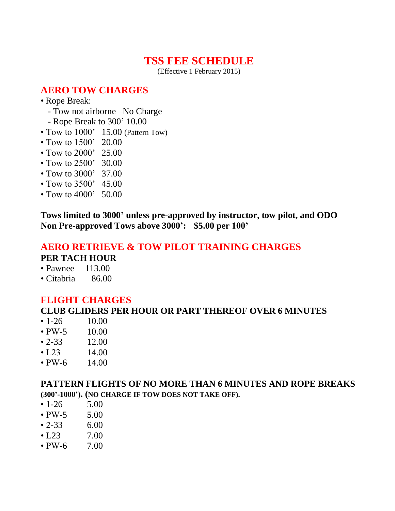# **TSS FEE SCHEDULE**

(Effective 1 February 2015)

# **AERO TOW CHARGES**

- Rope Break:
	- Tow not airborne –No Charge
	- Rope Break to 300' 10.00
- Tow to 1000' 15.00 (Pattern Tow)
- Tow to 1500' 20.00
- Tow to 2000' 25.00
- Tow to 2500' 30.00
- Tow to 3000' 37.00
- Tow to 3500' 45.00
- Tow to 4000' 50.00

**Tows limited to 3000' unless pre-approved by instructor, tow pilot, and ODO Non Pre-approved Tows above 3000': \$5.00 per 100'** 

#### **AERO RETRIEVE & TOW PILOT TRAINING CHARGES PER TACH HOUR**

- Pawnee 113.00
- Citabria 86.00

### **FLIGHT CHARGES**

### **CLUB GLIDERS PER HOUR OR PART THEREOF OVER 6 MINUTES**

- $\cdot$  1-26 10.00
- $PW-5$  10.00
- $\cdot$  2-33 12.00
- $\cdot$  [.23 14.00
- $PW-6$  14.00

#### **PATTERN FLIGHTS OF NO MORE THAN 6 MINUTES AND ROPE BREAKS (300'-1000'). (NO CHARGE IF TOW DOES NOT TAKE OFF).**

- $\cdot$  1-26 5.00
- $PW-5$  5.00
- $\cdot 2 33$  6.00
- $\cdot$  L23 7.00
- $PW-6$  7.00